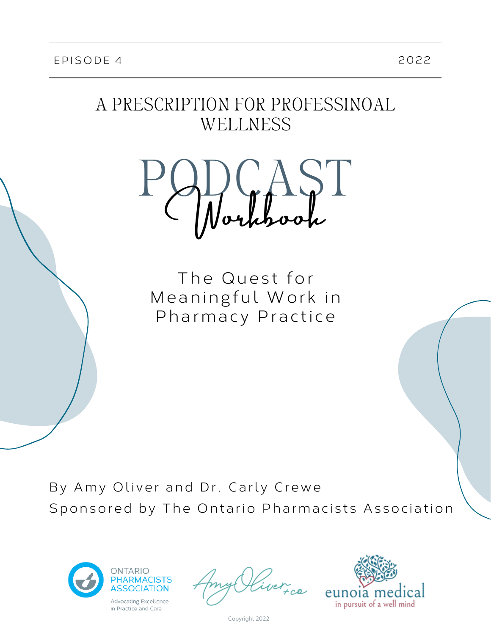## A PRESCRIPTION FOR PROFESSINOAL WELLNESS



The Quest for Meaningful Work in Pharmacy Practice

By Amy Oliver and Dr. Carly Crewe Sponsored by The Ontario Pharmacists Association



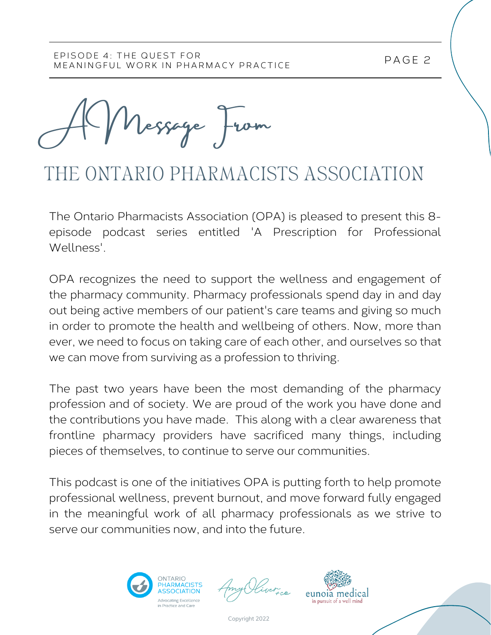A Message From

# THE ONTARIO PHARMACISTS ASSOCIATION

The Ontario Pharmacists Association (OPA) is pleased to present this 8 episode podcast series entitled 'A Prescription for Professional Wellness'.

OPA recognizes the need to support the wellness and engagement of the pharmacy community. Pharmacy professionals spend day in and day out being active members of our patient's care teams and giving so much in order to promote the health and wellbeing of others. Now, more than ever, we need to focus on taking care of each other, and ourselves so that we can move from surviving as a profession to thriving.

The past two years have been the most demanding of the pharmacy profession and of society. We are proud of the work you have done and the contributions you have made. This along with a clear awareness that frontline pharmacy providers have sacrificed many things, including pieces of themselves, to continue to serve our communities.

This podcast is one of the initiatives OPA is putting forth to help promote professional wellness, prevent burnout, and move forward fully engaged in the meaningful work of all pharmacy professionals as we strive to serve our communities now, and into the future.





P AGE 2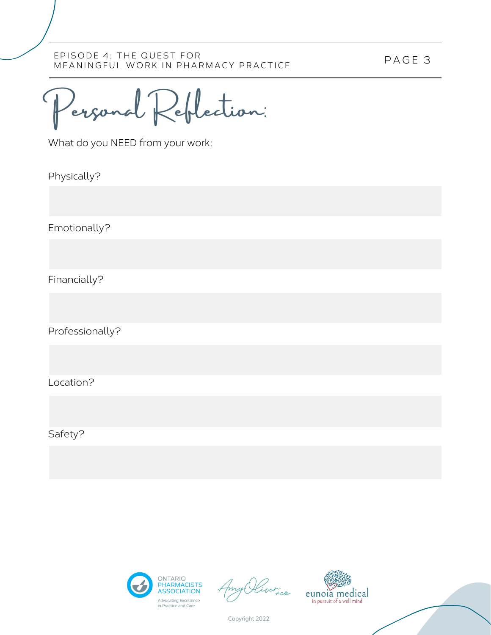Personal Reflection: C

What do you NEED from your work:

Physically?

Emotionally?

Financially?

Professionally?

Location?

Safety?



)<br>Ver<sub>t ce</sub>

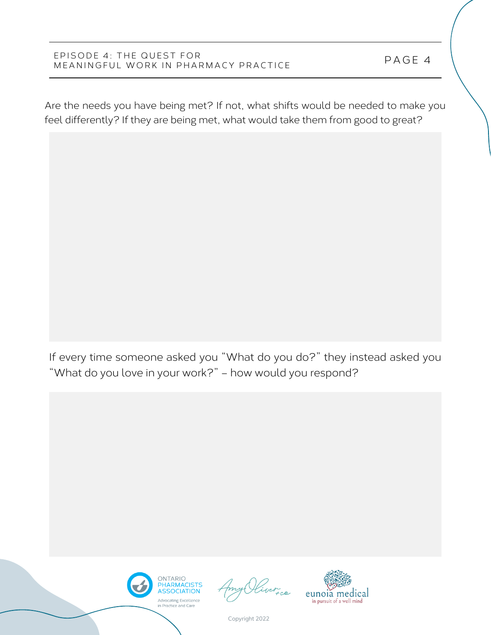Are the needs you have being met? If not, what shifts would be needed to make you feel differently? If they are being met, what would take them from good to great?

If every time someone asked you "What do you do?" they instead asked you "What do you love in your work?" – how would you respond?



n<br>FCO

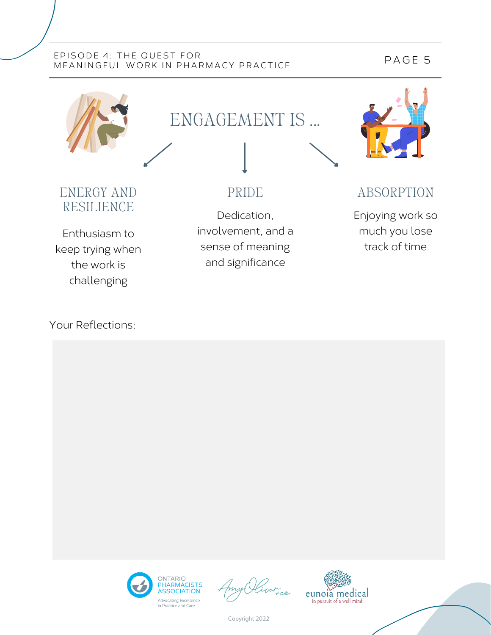### P AGE 5



### Your Reflections:



Copyright 2022

Advocating Excellence<br>in Practice and Care

eunoia medical

in pursuit of a well mind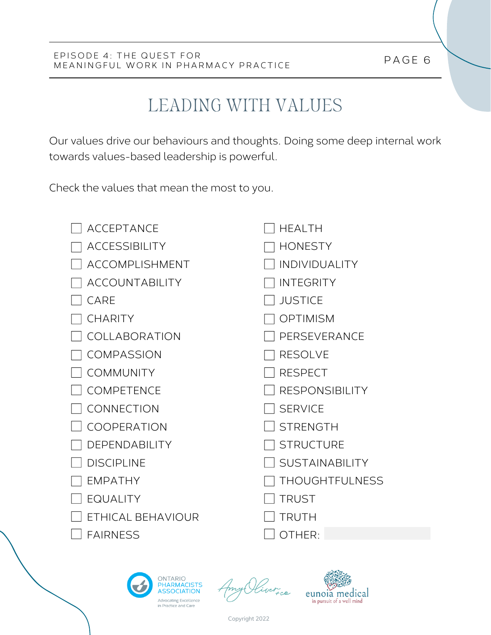# LEADING WITH VALUES

Our values drive our behaviours and thoughts. Doing some deep internal work towards values-based leadership is powerful.

Check the values that mean the most to you.

| <b>ACCEPTANCE</b>     | <b>HFAI TH</b>        |
|-----------------------|-----------------------|
| <b>ACCESSIBILITY</b>  | <b>HONESTY</b>        |
| ACCOMPLISHMENT        | <b>INDIVIDUALITY</b>  |
| <b>ACCOUNTABILITY</b> | <b>INTEGRITY</b>      |
| CARE                  | <b>JUSTICE</b>        |
| <b>CHARITY</b>        | <b>OPTIMISM</b>       |
| COLLABORATION         | PERSEVERANCE          |
| <b>COMPASSION</b>     | <b>RESOLVE</b>        |
| <b>COMMUNITY</b>      | <b>RESPECT</b>        |
| COMPETENCE            | <b>RESPONSIBILITY</b> |
| CONNECTION            | <b>SERVICE</b>        |
| <b>COOPERATION</b>    | <b>STRENGTH</b>       |
| DEPENDABILITY         | <b>STRUCTURE</b>      |
| <b>DISCIPLINE</b>     | <b>SUSTAINABILITY</b> |
| <b>EMPATHY</b>        | <b>THOUGHTFULNESS</b> |
| <b>EQUALITY</b>       | <b>TRUST</b>          |
| ETHICAL BEHAVIOUR     | <b>TRUTH</b>          |
| <b>FAIRNESS</b>       | OTHER:                |



n<br>Fce

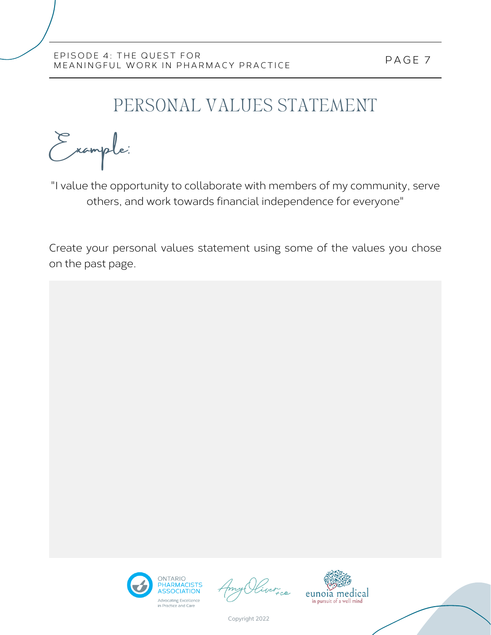## PERSONAL VALUES STATEMENT

Example:

"I value the opportunity to collaborate with members of my community, serve others, and work towards financial independence for everyone"

Create your personal values statement using some of the values you chose on the past page.



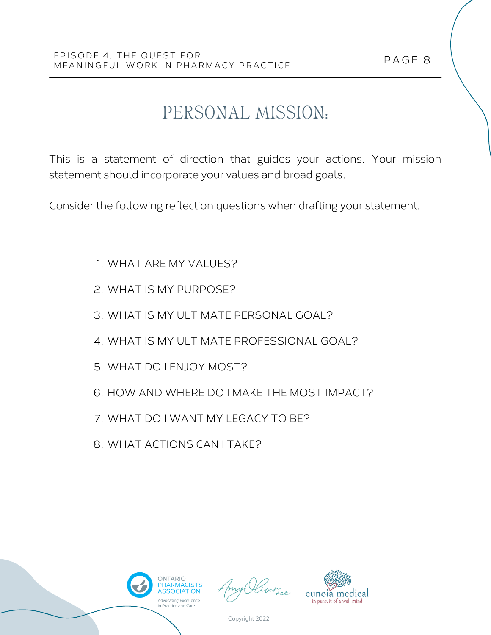# PERSONAL MISSION:

This is a statement of direction that guides your actions. Your mission statement should incorporate your values and broad goals.

Consider the following reflection questions when drafting your statement.

- WHAT ARE MY VALUES? 1.
- WHAT IS MY PURPOSE? 2.
- WHAT IS MY ULTIMATE PERSONAL GOAL? 3.
- WHAT IS MY ULTIMATE PROFESSIONAL GOAL? 4.
- WHAT DO I ENJOY MOST? 5.
- 6. HOW AND WHERE DO I MAKE THE MOST IMPACT?
- 7. WHAT DO I WANT MY LEGACY TO BE?
- 8. WHAT ACTIONS CAN I TAKE?



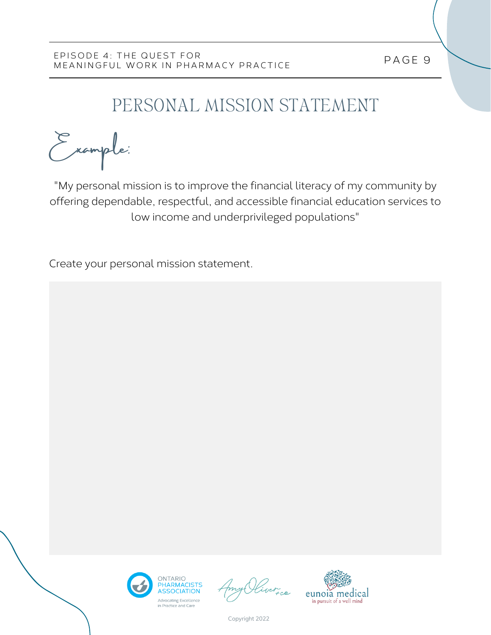# PERSONAL MISSION STATEMENT

Example:

"My personal mission is to improve the financial literacy of my community by offering dependable, respectful, and accessible financial education services to low income and underprivileged populations"

Create your personal mission statement.





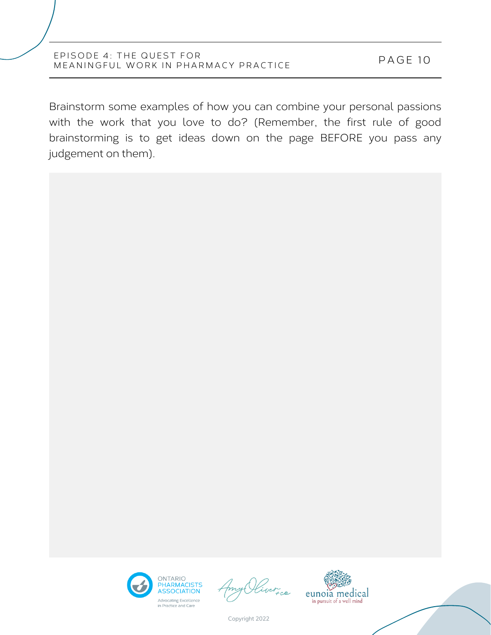Brainstorm some examples of how you can combine your personal passions with the work that you love to do? (Remember, the first rule of good brainstorming is to get ideas down on the page BEFORE you pass any judgement on them).





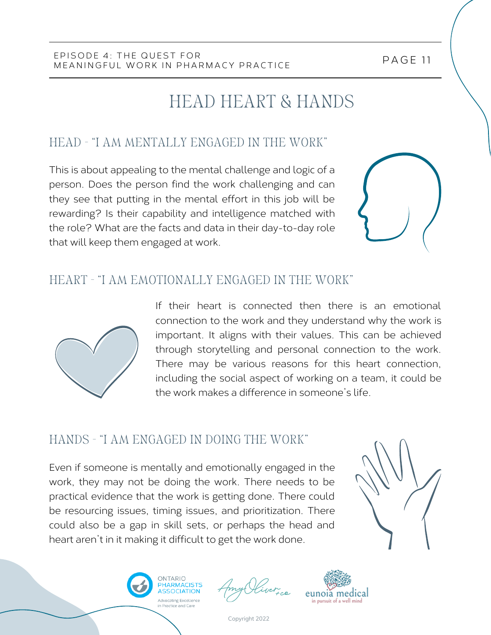## HEAD HEART & HANDS

## HEAD - "I AM MENTALLY ENGAGED IN THE WORK"

This is about appealing to the mental challenge and logic of a person. Does the person find the work challenging and can they see that putting in the mental effort in this job will be rewarding? Is their capability and intelligence matched with the role? What are the facts and data in their day-to-day role that will keep them engaged at work.

### HEART - "I AM EMOTIONALLY ENGAGED IN THE WORK"



If their heart is connected then there is an emotional connection to the work and they understand why the work is important. It aligns with their values. This can be achieved through storytelling and personal connection to the work. There may be various reasons for this heart connection, including the social aspect of working on a team, it could be the work makes a difference in someone's life.

### HANDS - "I AM ENGAGED IN DOING THE WORK"

Even if someone is mentally and emotionally engaged in the work, they may not be doing the work. There needs to be practical evidence that the work is getting done. There could be resourcing issues, timing issues, and prioritization. There could also be a gap in skill sets, or perhaps the head and heart aren't in it making it difficult to get the work done.





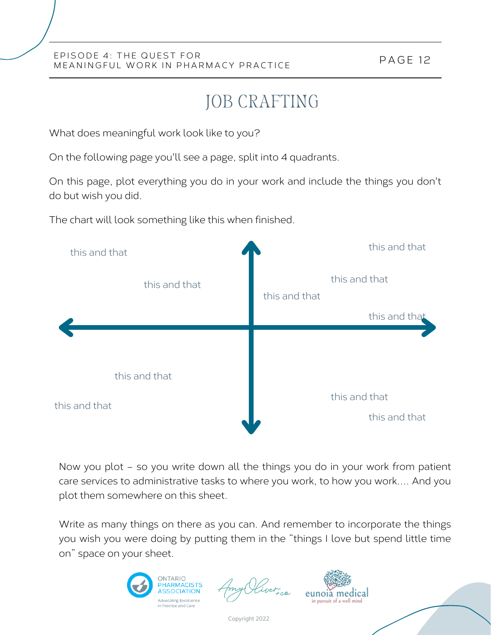# JOB CRAFTING

What does meaningful work look like to you?

On the following page you'll see a page, split into 4 quadrants.

On this page, plot everything you do in your work and include the things you don't do but wish you did.

The chart will look something like this when finished.



Now you plot – so you write down all the things you do in your work from patient care services to administrative tasks to where you work, to how you work…. And you plot them somewhere on this sheet.

Write as many things on there as you can. And remember to incorporate the things you wish you were doing by putting them in the "things I love but spend little time on" space on your sheet.



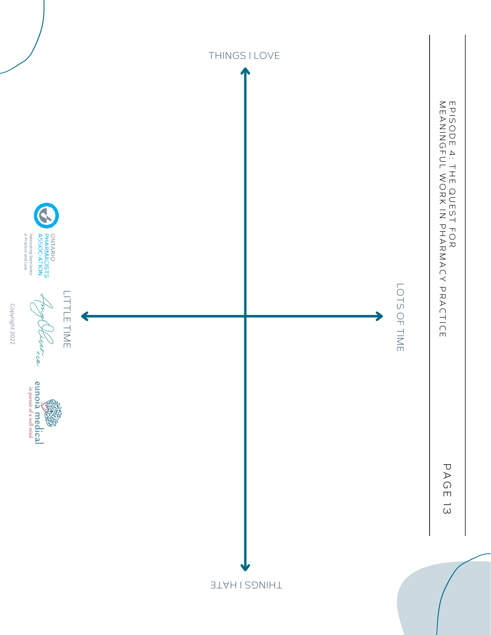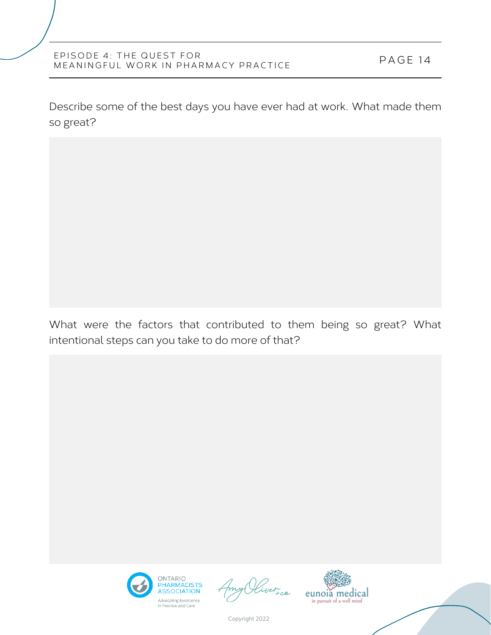Describe some of the best days you have ever had at work. What made them so great?

What were the factors that contributed to them being so great? What intentional steps can you take to do more of that?



ver ce

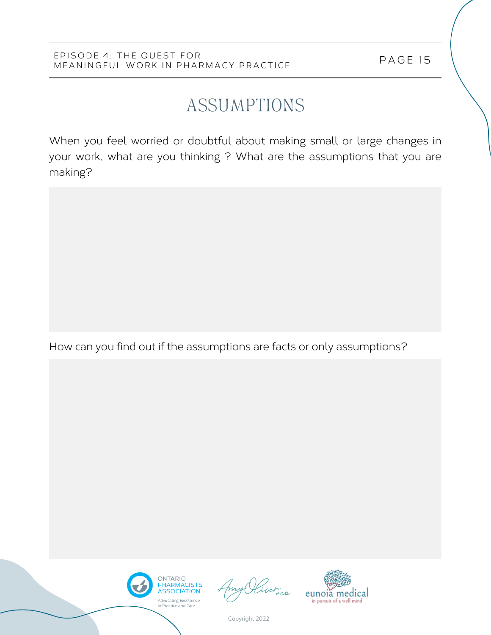# ASSUMPTIONS

When you feel worried or doubtful about making small or large changes in your work, what are you thinking ? What are the assumptions that you are making?

How can you find out if the assumptions are facts or only assumptions?





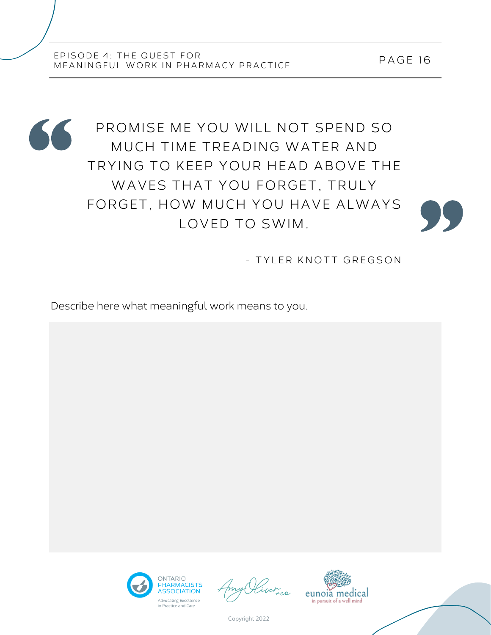PAGE 16



- TYLER KNOTT GREGSON

Describe here what meaningful work means to you.



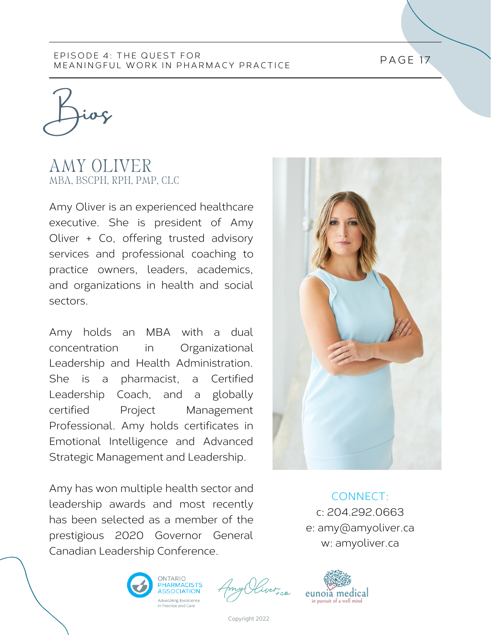Bios

### AMY OLIVER MBA, BSCPH, RPH, PMP, CLC

Amy Oliver is an experienced healthcare executive. She is president of Amy Oliver + Co, offering trusted advisory services and professional coaching to practice owners, leaders, academics, and organizations in health and social sectors.

Amy holds an MBA with a dual concentration in Organizational Leadership and Health Administration. She is a pharmacist, a Certified Leadership Coach, and a globally certified Project Management Professional. Amy holds certificates in Emotional Intelligence and Advanced Strategic Management and Leadership.

Amy has won multiple health sector and leadership awards and most recently has been selected as a member of the prestigious 2020 Governor General Canadian Leadership Conference.



CONNECT: c: 204.292.0663 e: amy@amyoliver.ca w: amyoliver.ca